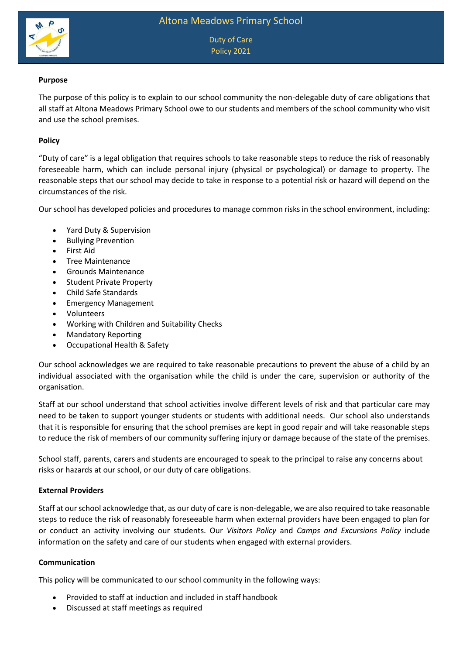

Duty of Care Policy 2021

## **Purpose**

The purpose of this policy is to explain to our school community the non-delegable duty of care obligations that all staff at Altona Meadows Primary School owe to our students and members of the school community who visit and use the school premises.

### **Policy**

"Duty of care" is a legal obligation that requires schools to take reasonable steps to reduce the risk of reasonably foreseeable harm, which can include personal injury (physical or psychological) or damage to property. The reasonable steps that our school may decide to take in response to a potential risk or hazard will depend on the circumstances of the risk.

Our school has developed policies and procedures to manage common risks in the school environment, including:

- Yard Duty & Supervision
- Bullying Prevention
- First Aid
- Tree Maintenance
- Grounds Maintenance
- Student Private Property
- Child Safe Standards
- Emergency Management
- Volunteers
- Working with Children and Suitability Checks
- Mandatory Reporting
- Occupational Health & Safety

Our school acknowledges we are required to take reasonable precautions to prevent the abuse of a child by an individual associated with the organisation while the child is under the care, supervision or authority of the organisation.

Staff at our school understand that school activities involve different levels of risk and that particular care may need to be taken to support younger students or students with additional needs. Our school also understands that it is responsible for ensuring that the school premises are kept in good repair and will take reasonable steps to reduce the risk of members of our community suffering injury or damage because of the state of the premises.

School staff, parents, carers and students are encouraged to speak to the principal to raise any concerns about risks or hazards at our school, or our duty of care obligations.

#### **External Providers**

Staff at our school acknowledge that, as our duty of care is non-delegable, we are also required to take reasonable steps to reduce the risk of reasonably foreseeable harm when external providers have been engaged to plan for or conduct an activity involving our students. Our *Visitors Policy* and *Camps and Excursions Policy* include information on the safety and care of our students when engaged with external providers.

#### **Communication**

This policy will be communicated to our school community in the following ways:

- Provided to staff at induction and included in staff handbook
- Discussed at staff meetings as required